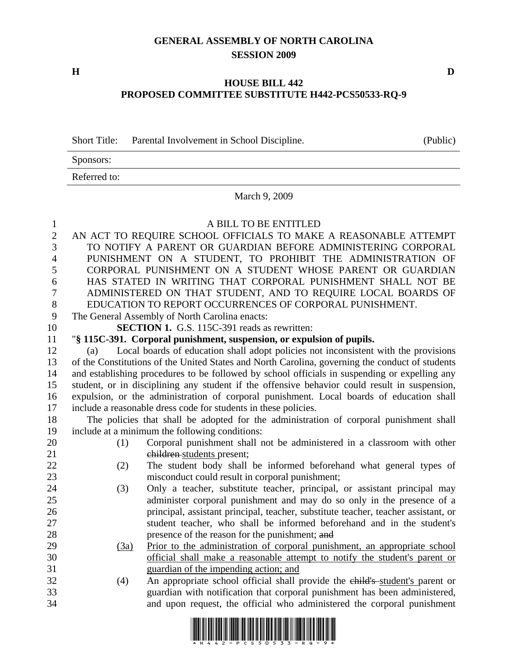## **GENERAL ASSEMBLY OF NORTH CAROLINA SESSION 2009**

**H D** 

Sponsors:

## **HOUSE BILL 442 PROPOSED COMMITTEE SUBSTITUTE H442-PCS50533-RQ-9**

Short Title: Parental Involvement in School Discipline. (Public)

|              | Referred to:<br>March 9, 2009                                                                                           |                                                                                     |  |
|--------------|-------------------------------------------------------------------------------------------------------------------------|-------------------------------------------------------------------------------------|--|
|              |                                                                                                                         |                                                                                     |  |
| 1            |                                                                                                                         | A BILL TO BE ENTITLED                                                               |  |
| $\mathbf{2}$ | AN ACT TO REQUIRE SCHOOL OFFICIALS TO MAKE A REASONABLE ATTEMPT                                                         |                                                                                     |  |
| 3            | TO NOTIFY A PARENT OR GUARDIAN BEFORE ADMINISTERING CORPORAL                                                            |                                                                                     |  |
| 4            | PUNISHMENT ON A STUDENT, TO PROHIBIT THE ADMINISTRATION OF                                                              |                                                                                     |  |
| 5            | CORPORAL PUNISHMENT ON A STUDENT WHOSE PARENT OR GUARDIAN                                                               |                                                                                     |  |
| 6<br>7       | HAS STATED IN WRITING THAT CORPORAL PUNISHMENT SHALL NOT BE                                                             |                                                                                     |  |
| $8\,$        | ADMINISTERED ON THAT STUDENT, AND TO REQUIRE LOCAL BOARDS OF<br>EDUCATION TO REPORT OCCURRENCES OF CORPORAL PUNISHMENT. |                                                                                     |  |
| 9            | The General Assembly of North Carolina enacts:                                                                          |                                                                                     |  |
| 10           | <b>SECTION 1.</b> G.S. 115C-391 reads as rewritten:                                                                     |                                                                                     |  |
| 11           |                                                                                                                         | "§ 115C-391. Corporal punishment, suspension, or expulsion of pupils.               |  |
| 12           | (a)                                                                                                                     | Local boards of education shall adopt policies not inconsistent with the provisions |  |
| 13           | of the Constitutions of the United States and North Carolina, governing the conduct of students                         |                                                                                     |  |
| 14           | and establishing procedures to be followed by school officials in suspending or expelling any                           |                                                                                     |  |
| 15           | student, or in disciplining any student if the offensive behavior could result in suspension,                           |                                                                                     |  |
| 16           | expulsion, or the administration of corporal punishment. Local boards of education shall                                |                                                                                     |  |
| 17           | include a reasonable dress code for students in these policies.                                                         |                                                                                     |  |
| 18           | The policies that shall be adopted for the administration of corporal punishment shall                                  |                                                                                     |  |
| 19           | include at a minimum the following conditions:                                                                          |                                                                                     |  |
| 20           | (1)                                                                                                                     | Corporal punishment shall not be administered in a classroom with other             |  |
| 21           |                                                                                                                         | children-students present;                                                          |  |
| 22           | (2)                                                                                                                     | The student body shall be informed beforehand what general types of                 |  |
| 23           |                                                                                                                         | misconduct could result in corporal punishment;                                     |  |
| 24           | (3)                                                                                                                     | Only a teacher, substitute teacher, principal, or assistant principal may           |  |
| 25           |                                                                                                                         | administer corporal punishment and may do so only in the presence of a              |  |
| 26           |                                                                                                                         | principal, assistant principal, teacher, substitute teacher, teacher assistant, or  |  |
| 27           |                                                                                                                         | student teacher, who shall be informed beforehand and in the student's              |  |
| 28           |                                                                                                                         | presence of the reason for the punishment; and                                      |  |
| 29           | (3a)                                                                                                                    | Prior to the administration of corporal punishment, an appropriate school           |  |
| 30           |                                                                                                                         | official shall make a reasonable attempt to notify the student's parent or          |  |
| 31           |                                                                                                                         | guardian of the impending action; and                                               |  |
| 32           | (4)                                                                                                                     | An appropriate school official shall provide the child's student's parent or        |  |
| 33<br>34     |                                                                                                                         | guardian with notification that corporal punishment has been administered,          |  |
|              |                                                                                                                         | and upon request, the official who administered the corporal punishment             |  |